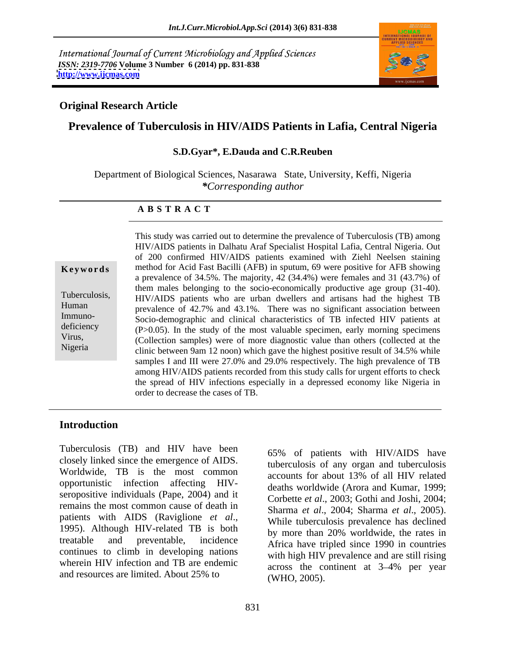International Journal of Current Microbiology and Applied Sciences *ISSN: 2319-7706* **Volume 3 Number 6 (2014) pp. 831-838 <http://www.ijcmas.com>**



### **Original Research Article**

## **Prevalence of Tuberculosis in HIV/AIDS Patients in Lafia, Central Nigeria**

#### **S.D.Gyar\*, E.Dauda and C.R.Reuben**

Department of Biological Sciences, Nasarawa State, University, Keffi, Nigeria *\*Corresponding author*

#### **A B S T R A C T**

**Keywords** method for Acid Fast Bacilli (AFB) in sputum, 69 were positive for AFB showing Tuberculosis, HIV/AIDS patients who are urban dwellers and artisans had the highest TB Human prevalence of 42.7% and 43.1%. There was no significant association between Immuno-<br>Socio-demographic and clinical characteristics of TB infected HIV patients at deficiency  $(P>0.05)$ . In the study of the most valuable specimen, early morning specimens Virus,<br>
(Collection samples) were of more diagnostic value than others (collected at the Nigeria<br>
clinic between 9am 12 noon) which gave the highest positive result of 34.5% while This study was carried out to determine the prevalence of Tuberculosis (TB) among HIV/AIDS patients in Dalhatu Araf Specialist Hospital Lafia, Central Nigeria. Out of 200 confirmed HIV/AIDS patients examined with Ziehl Neelsen staining a prevalence of 34.5%. The majority, 42 (34.4%) were females and 31 (43.7%) of them males belonging to the socio-economically productive age group (31-40). samples I and III were 27.0% and 29.0% respectively. The high prevalence of TB among HIV/AIDS patients recorded from this study calls for urgent efforts to check the spread of HIV infections especially in a depressed economy like Nigeria in order to decrease the cases of TB.

### **Introduction**

Tuberculosis (TB) and HIV have been closely linked since the emergence of AIDS. Worldwide, TB is the most common opportunistic infection affecting HIV seropositive individuals (Pape, 2004) and it remains the most common cause of death in<br>Sharma et al., 2004; Sharma et al., 2005). patients with AIDS (Raviglione *et al.*, 1995).<br>1995). Although HIV-related TB is both by more than 20% worldwide the rates in treatable and preventable, incidence Africa have tripled since 1990 in countries continues to climb in developing nations wherein HIV infection and TB are endemic and resources are limited. About 25% to

65% of patients with HIV/AIDS have tuberculosis of any organ and tuberculosis accounts for about 13% of all HIV related deaths worldwide (Arora and Kumar, 1999; Corbette *et al*., 2003; Gothi and Joshi, 2004; Sharma *et al*., 2004; Sharma *et al*., 2005). While tuberculosis prevalence has declined by more than 20% worldwide, the rates in with high HIV prevalence and are still rising across the continent at 3–4% per year (WHO, 2005).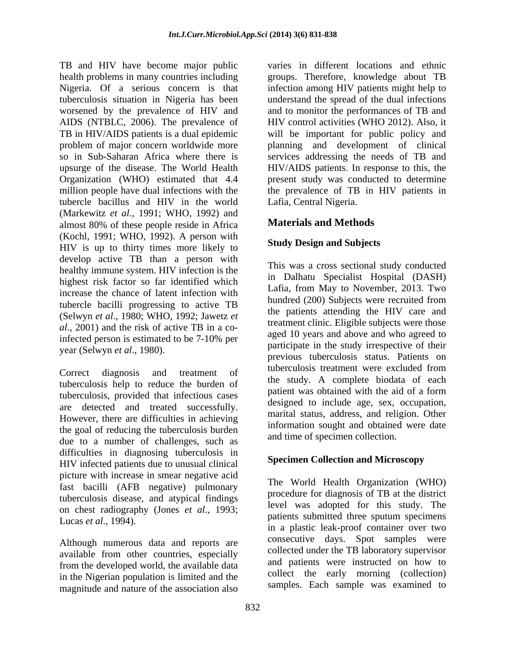TB and HIV have become major public varies in different locations and ethnic health problems in many countries including groups. Therefore, knowledge about TB Nigeria. Of a serious concern is that infection among HIV patients might help to tuberculosis situation in Nigeria has been understand the spread of the dual infections worsened by the prevalence of HIV and and to monitor the performances of TB and AIDS (NTBLC, 2006). The prevalence of TB in HIV/AIDS patients is a dual epidemic will be important for public policy and problem of major concern worldwide more planning and development of clinical so in Sub-Saharan Africa where there is services addressing the needs of TB and upsurge of the disease. The World Health HIV/AIDS patients. In response to this, the Organization (WHO) estimated that 4.4 present study was conducted to determine million people have dual infections with the the prevalence of TB in HIV patients in tubercle bacillus and HIV in the world (Markewitz *et al*., 1991; WHO, 1992) and almost 80% of these people reside in Africa (Kochl, 1991; WHO, 1992). A person with HIV is up to thirty times more likely to develop active TB than a person with healthy immune system. HIV infection is the highest risk factor so far identified which increase the chance of latent infection with tubercle bacilli progressing to active TB (Selwyn *et al*., 1980; WHO, 1992; Jawetz *et al*., 2001) and the risk of active TB in a coinfected person is estimated to be  $7-10\%$  per  $\frac{a\text{gcd}}{10}$  years and above and who agreed to year (Selwyn *et al*., 1980).

Correct diagnosis and treatment of the correct diagnosis and treatment of tuberculosis help to reduce the burden of tuberculosis, provided that infectious cases are detected and treated successfully. However, there are difficulties in achieving the goal of reducing the tuberculosis burden due to a number of challenges, such as difficulties in diagnosing tuberculosis in HIV infected patients due to unusual clinical picture with increase in smear negative acid fast bacilli (AFB negative) pulmonary tuberculosis disease, and atypical findings on chest radiography (Jones *et al*., 1993;

Although numerous data and reports are available from other countries, especially from the developed world, the available data in the Nigerian population is limited and the magnitude and nature of the association also

HIV control activities (WHO 2012). Also, it Lafia, Central Nigeria.

# **Materials and Methods**

# **Study Design and Subjects**

This was a cross sectional study conducted in Dalhatu Specialist Hospital (DASH) Lafia, from May to November, 2013. Two hundred (200) Subjects were recruited from the patients attending the HIV care and treatment clinic. Eligible subjects were those aged 10 years and above and who agreed to participate in the study irrespective of their previous tuberculosis status. Patients on tuberculosis treatment were excluded from the study. A complete biodata of each patient was obtained with the aid of a form designed to include age, sex, occupation, marital status, address, and religion. Other information sought and obtained were date and time of specimen collection.

## **Specimen Collection and Microscopy**

Lucas *et al*., 1994). The World Health Organization (WHO) procedure for diagnosis of TB at the district level was adopted for this study. The patients submitted three sputum specimens in a plastic leak-proof container over two consecutive days. Spot samples were collected under the TB laboratory supervisor and patients were instructed on how to collect the early morning (collection) samples. Each sample was examined to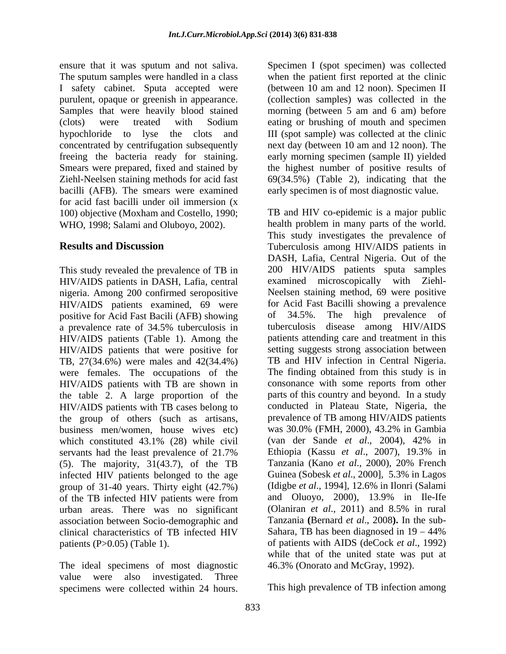ensure that it was sputum and not saliva. Specimen I (spot specimen) was collected The sputum samples were handled in a class when the patient first reported at the clinic I safety cabinet. Sputa accepted were purulent, opaque or greenish in appearance. (collection samples) was collected in the Samples that were heavily blood stained morning (between 5 am and 6 am) before (clots) were treated with Sodium eating or brushing of mouth and specimen hypochloride to lyse the clots and III (spot sample) was collected at the clinic concentrated by centrifugation subsequently next day (between 10 am and 12 noon). The freeing the bacteria ready for staining. early morning specimen (sample II) yielded Smears were prepared, fixed and stained by the highest number of positive results of Ziehl-Neelsen staining methods for acid fast 69(34.5%) (Table 2), indicating that the bacilli (AFB). The smears were examined early specimen is of most diagnostic value. for acid fast bacilli under oil immersion (x 100) objective (Moxham and Costello, 1990; WHO, 1998; Salami and Oluboyo, 2002).

This study revealed the prevalence of TB in HIV/AIDS patients in DASH, Lafia, central nigeria. Among 200 confirmed seropositive HIV/AIDS patients examined, 69 were positive for Acid Fast Bacili (AFB) showing a prevalence rate of 34.5% tuberculosis in HIV/AIDS patients (Table 1). Among the were females. The occupations of the HIV/AIDS patients with TB are shown in HIV/AIDS patients with TB cases belong to the group of others (such as artisans, business men/women, house wives etc) servants had the least prevalence of 21.7% Ethiopia (Kassu et al., 2007), 19.3% in (5). The majority, 31(43.7), of the TB infected HIV patients belonged to the age group of 31-40 years. Thirty eight (42.7%) (Idigbe *et al.*, 1994], 12.6% in Ilonri (Salami of the TB infected HIV patients were from and Oluoyo, 2000), 13.9% in Ile-Ife of the TB infected HIV patients were from urban areas. There was no significant association between Socio-demographic and clinical characteristics of TB infected HIV

The ideal specimens of most diagnostic 46.3% (Onorato and McGray, 1992). value were also investigated. Three specimens were collected within 24 hours.

(between 10 am and 12 noon). Specimen II

**Results and Discussion** Tuberculosis among HIV/AIDS patients in HIV/AIDS patients that were positive for setting suggests strong association between TB, 27(34.6%) were males and 42(34.4%) TB and HIV infection in Central Nigeria. the table 2. A large proportion of the parts of this country and beyond. In a study which constituted 43.1% (28) while civil (van der Sande *et al.*, 2004), 42% in patients (P>0.05) (Table 1). of patients with AIDS (deCock *et al*., 1992) TB and HIV co-epidemic is a major public health problem in many parts of the world. This study investigates the prevalence of DASH, Lafia, Central Nigeria. Out of the 200 HIV/AIDS patients sputa samples examined microscopically with Ziehl- Neelsen staining method, 69 were positive for Acid Fast Bacilli showing a prevalence of 34.5%. The high prevalence of tuberculosis disease among HIV/AIDS patients attending care and treatment in this The finding obtained from this study is in consonance with some reports from other conducted in Plateau State, Nigeria, the prevalence of TB among HIV/AIDS patients was 30.0% (FMH, 2000), 43.2% in Gambia (van der Sande *et al*., 2004), 42% in Ethiopia (Kassu *et al*., 2007), 19.3% in Tanzania (Kano et al., 2000), 20% French Guinea (Sobesk *et al*., 2000], 5.3% in Lagos (Idigbe *et al*., 1994], 12.6% in Ilonri (Salami and Oluoyo, 2000), 13.9% in Ile-Ife (Olaniran *et al*., 2011) and 8.5% in rural Tanzania **(**Bernard *et al*., 2008**).** In the sub- Sahara, TB has been diagnosed in  $19 - 44\%$ while that of the united state was put at 46.3% (Onorato and McGray, 1992).

This high prevalence of TB infection among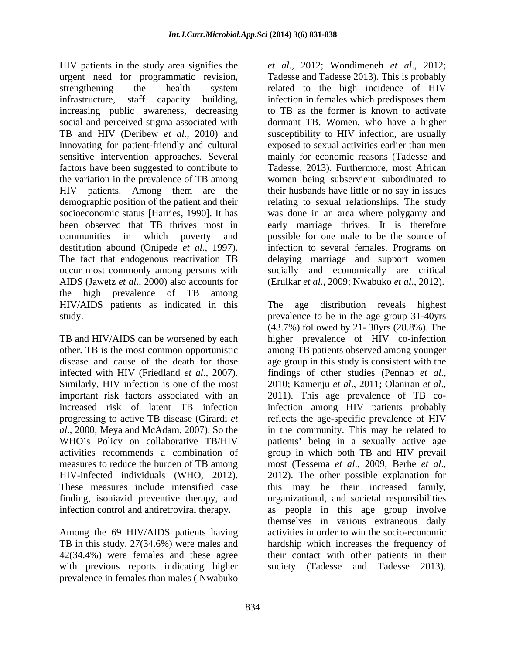HIV patients in the study area signifies the factors have been suggested to contribute to the variation in the prevalence of TB among demographic position of the patient and their AIDS (Jawetz *et al*., 2000) also accounts for (Erulkar *et al*., 2009; Nwabuko *et al*., 2012). the high prevalence of TB among HIV/AIDS patients as indicated in this

TB and HIV/AIDS can be worsened by each important risk factors associated with an 2011). This age prevalence of TB comeasures to reduce the burden of TB among most (Tessema et al., 2009; Berhe et al., HIV-infected individuals (WHO, 2012). 2012). The other possible explanation for

Among the 69 HIV/AIDS patients having with previous reports indicating higher society (Tadesse and Tadesse 2013).prevalence in females than males ( Nwabuko

urgent need for programmatic revision, Tadesse and Tadesse 2013). This is probably strengthening the health system related to the high incidence of HIV infrastructure, staff capacity building, infection in females which predisposes them increasing public awareness, decreasing to TB as the former is known to activate social and perceived stigma associated with dormant TB. Women, who have a higher TB and HIV (Deribew *et al*., 2010) and susceptibility to HIV infection, are usually innovating for patient-friendly and cultural exposed to sexual activities earlier than men sensitive intervention approaches. Several mainly for economic reasons (Tadesse and HIV patients. Among them are the their husbands have little or no say in issues socioeconomic status [Harries, 1990]. It has was done in an area where polygamy and been observed that TB thrives most in early marriage thrives. It is therefore communities in which poverty and possible for one male to be the source of destitution abound (Onipede *et al.*, 1997). Infection to several females. Programs on The fact that endogenous reactivation TB delaying marriage and support women occur most commonly among persons with socially and economically are critical *et al*., 2012; Wondimeneh *et al*., 2012; Tadesse, 2013). Furthermore, most African women being subservient subordinated to relating to sexual relationships. The study infection to several females. Programs on delaying marriage and support women

study. prevalence to be in the age group 31-40yrs other. TB is the most common opportunistic among TB patients observed among younger disease and cause of the death for those age group in this study is consistent with the infected with HIV (Friedland *et al.*, 2007). findings of other studies (Pennap *et al.*, Similarly, HIV infection is one of the most 2010; Kamenju *et al.*, 2011; Olaniran *et al.*, increased risk of latent TB infection infection among HIV patients probably progressing to active TB disease (Girardi *et*  reflects the age-specific prevalence of HIV *al*., 2000; Meya and McAdam, 2007). So the in the community. This may be related to WHO's Policy on collaborative TB/HIV patients' being in a sexually active age activities recommends a combination of group in which both TB and HIV prevail These measures include intensified case this may be their increased family, finding, isoniazid preventive therapy, and organizational, and societal responsibilities infection control and antiretroviral therapy. as people in this age group involve TB in this study, 27(34.6%) were males and hardship which increases the frequency of 42(34.4%) were females and these agree their contact with other patients in their age distribution reveals highest (43.7%) followed by 21- 30yrs (28.8%). The higher prevalence of HIV co-infection findings of other studies (Pennap *et al.*, 2010; Kamenju *et al.*, 2011; Olaniran *et al.*, 2011). This age prevalence of TB comost (Tessema *et al*., 2009; Berhe *et al*., 2012). The other possible explanation for themselves in various extraneous daily activities in order to win the socio-economic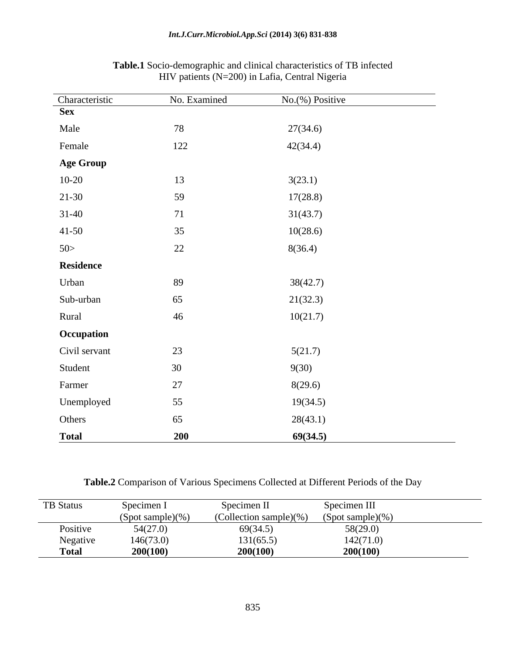| Characteristic   | No. Examined | $No.$ (%) Positive |
|------------------|--------------|--------------------|
| <b>Sex</b>       |              |                    |
| Male             | 78           | 27(34.6)           |
| Female           | 122          | 42(34.4)           |
| <b>Age Group</b> |              |                    |
| $10-20$          | 13           | 3(23.1)            |
| $21-30$          | 59           | 17(28.8)           |
| $31 - 40$        | 71           | 31(43.7)           |
| $41 - 50$        | 35           | 10(28.6)           |
| 50>              | 22           | 8(36.4)            |
| Residence        |              |                    |
| Urban            | 89           | 38(42.7)           |
| Sub-urban        | 65           | 21(32.3)           |
| Rural            | 46           | 10(21.7)           |
| Occupation       |              |                    |
| Civil servant    | 23           | 5(21.7)            |
| Student          | 30           | 9(30)              |
| Farmer           | $27\,$       | 8(29.6)            |
| Unemployed       | 55           | 19(34.5)           |
| Others           | 65           | 28(43.1)           |
| <b>Total</b>     | 200          | 69(34.5)           |

## **Table.1** Socio-demographic and clinical characteristics of TB infected HIV patients (N=200) in Lafia, Central Nigeria

**Table.2** Comparison of Various Specimens Collected at Different Periods of the Day

| TB Status    | Specimen 1          | Specimen II                 | Specimen III        |
|--------------|---------------------|-----------------------------|---------------------|
|              | $(Spot sample)(\%)$ | (Collection sample) $(\% )$ | $(Spot sample)(\%)$ |
| Positive     | 54(27.0)            | 69(34.5)                    | 58(29.0)            |
| Negative     | 146(73.0)           | 131(65.5)                   | 142(71.0)           |
| <b>Total</b> | 200(100)            | 200(100)                    | 200(100)            |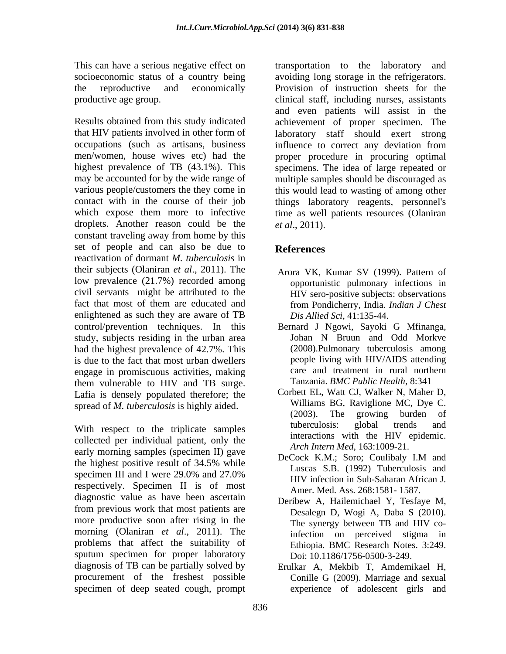may be accounted for by the wide range of droplets. Another reason could be the  $et al., 2011$ . constant traveling away from home by this set of people and can also be due to References reactivation of dormant *M. tuberculosis* in their subjects (Olaniran *et al*., 2011). The low prevalence (21.7%) recorded among civil servants might be attributed to the HIV sero-positive subjects: observations fact that most of them are educated and from Pondicherry, India. Indian J Chest enlightened as such they are aware of TB  $Dis$  *Dis Allied Sci*, 41:135-44. control/prevention techniques. In this Bernard J Ngowi, Sayoki G Mfinanga, study, subjects residing in the urban area **Shan** N Bruun and Odd Morkve had the highest prevalence of 42.7%. This is due to the fact that most urban dwellers engage in promiscuous activities, making them vulnerable to HIV and TB surge. Lafia is densely populated therefore; the

collected per individual patient, only the early morning samples (specimen II) gave<br>DeCock K.M.; Soro; Coulibaly I.M and the highest positive result of 34.5% while specimen III and I were  $29.0\%$  and  $27.0\%$  Euseas 5.5. (1992) Tubercurosis and specimen II and I were 29.0% and 27.0%<br>  $HIV$  infection in Sub-Saharan African J.<br>
respectively. Specimen II is of most<br>
Amon Med Ass 268:1581, 1587 diagnostic value as have been ascertain from previous work that most patients are more productive soon after rising in the The synergy between TB and HIV comorning (Olaniran *et al*., 2011). The problems that affect the suitability of Ethiopia. BMC Research Notes. 3:249. sputum specimen for proper laboratory diagnosis of TB can be partially solved by Erulkar A, Mekbib T, Amdemikael H, procurement of the freshest possible Conille G (2009). Marriage and sexual specimen of deep seated cough, prompt

This can have a serious negative effect on transportation to the laboratory and socioeconomic status of a country being avoiding long storage in the refrigerators. the reproductive and economically Provision of instruction sheets for the productive age group. clinical staff, including nurses, assistants Results obtained from this study indicated achievement of proper specimen. The that HIV patients involved in other form of laboratory staff should exert strong occupations (such as artisans, business influence to correct any deviation from men/women, house wives etc) had the proper procedure in procuring optimal highest prevalence of TB (43.1%). This specimens. The idea of large repeated or various people/customers the they come in this would lead to wasting of among other contact with in the course of their job things laboratory reagents, personnel's which expose them more to infective time as well patients resources (Olaniran and even patients will assist in the multiple samples should be discouraged as *et al*., 2011).

# **References**

- Arora VK, Kumar SV (1999). Pattern of opportunistic pulmonary infections in from Pondicherry, India. *Indian J Chest Dis Allied Sci*, 41:135-44.
- Bernard <sup>J</sup> Ngowi, Sayoki <sup>G</sup> Mfinanga, Johan <sup>N</sup> Bruun and Odd Morkve (2008).Pulmonary tuberculosis among people living with HIV/AIDS attending care and treatment in rural northern Tanzania. *BMC Public Health*, 8:341
- spread of *M. tuberculosis* is highly aided.<br>(2003). The growing burden of With respect to the triplicate samples tuberculosis: global trends and Corbett EL, Watt CJ, Walker N, Maher D, Williams BG, Raviglione MC, Dye C. (2003). The growing burden of tuberculosis: global trends and interactions with the HIV epidemic. *Arch Intern Med*, 163:1009-21.
	- DeCock K.M.; Soro; Coulibaly I.M and Luscas S.B. (1992) Tuberculosis and HIV infection in Sub-Saharan African J. Amer. Med. Ass. 268:1581- 1587.
	- Deribew A, Hailemichael Y, Tesfaye M, Desalegn D, Wogi A, Daba S (2010). The synergy between TB and HIV coinfection on perceived stigma in Doi: 10.1186/1756-0500-3-249.
	- Erulkar A, Mekbib T, Amdemikael H,<br>Conille G (2009). Marriage and sexual experience of adolescent girls and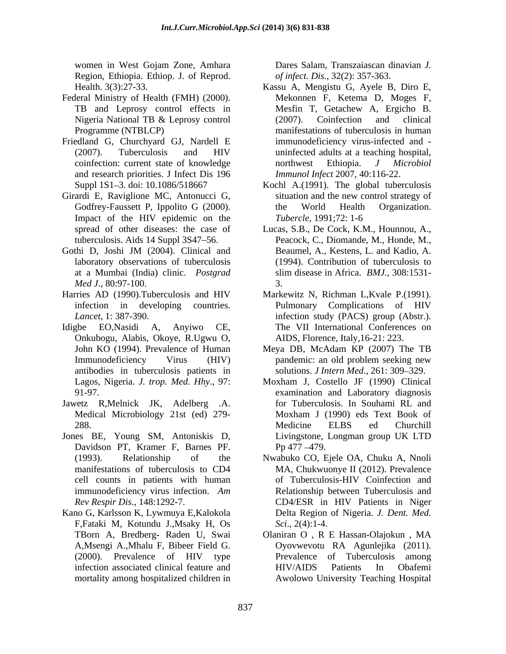Region, Ethiopia. Ethiop. J. of Reprod.

- Federal Ministry of Health (FMH) (2000).
- and research priorities. J Infect Dis 196
- Girardi E, Raviglione MC, Antonucci G, situation and the new control strategy of Impact of the HIV epidemic on the Tubercle, 1991;72: 1-6
- *Med J*., 80:97-100.
- Harries AD (1990).Tuberculosis and HIV Markewitz N, Richman L,Kvale P.(1991).
- Idigbe EO,Nasidi A, Anyiwo CE, The VII International Conferences on Onkubogu, Alabis, Okoye, R.Ugwu O, antibodies in tuberculosis patients in
- 
- Jones BE, Young SM, Antoniskis D, Davidson PT, Kramer F, Barnes PF.
- Kano G, Karlsson K, Lywmuya E,Kalokola F,Fataki M, Kotundu J.,Msaky H, Os

women in West Gojam Zone, Amhara **Dares Salam, Transzaiascan dinavian J**. Dares Salam, Transzaiascan dinavian *J. of infect. Dis*., 32(2): 357-363.

- Health. 3(3):27-33. Kassu A, Mengistu G, Ayele B, Diro E, TB and Leprosy control effects in Mesfin T, Getachew A, Ergicho B. Nigeria National TB & Leprosy control (2007). Coinfection and clinical Programme (NTBLCP) manifestations of tuberculosis in human Friedland G, Churchyard GJ, Nardell E immunodeficiency virus-infected and - (2007). Tuberculosis and HIV coinfection: current state of knowledge morthwest Ethiopia. J Microbiol Mekonnen F, Ketema D, Moges F, (2007). Coinfection and clinical uninfected adults at a teaching hospital, northwest Ethiopia. *J Microbiol Immunol Infect* 2007, 40:116-22.
	- Suppl 1S1–3. doi: 10.1086/518667 Kochl A.(1991). The global tuberculosis Godfrey-Faussett P, Ippolito G (2000). situation and the new control strategy of the World Health Organization. *Tubercle*, 1991;72: 1-6
- spread of other diseases: the case of Lucas, S.B., De Cock, K.M., Hounnou, A., tuberculosis. Aids 14 Suppl 3S47 56. Peacock, C., Diomande, M., Honde, M., Gothi D, Joshi JM (2004). Clinical and Beaumel, A., Kestens, L. and Kadio, A. laboratory observations of tuberculosis (1994). Contribution of tuberculosis to at a Mumbai (India) clinic. *Postgrad* Beaumel, A., Kestens, L. and Kadio, A. slim disease in Africa. *BMJ.,* 308:1531- 3.
	- infection in developing countries. Pulmonary Complications of HIV *Lancet*, 1: 387-390. infection study (PACS) group (Abstr.). Pulmonary Complications of HIV AIDS, Florence, Italy,16-21: 223.
	- John KO (1994). Prevalence of Human Meya DB, McAdam KP (2007) The TB Immunodeficiency Virus (HIV) pandemic: an old problem seeking new pandemic: an old problem seeking new solutions. *J Intern Med.*, 261: 309-329.
- Lagos, Nigeria. *J. trop. Med. Hhy*., 97: Moxham J, Costello JF (1990) Clinical 91-97. examination and Laboratory diagnosis Jawetz R, Melnick JK, Adelberg .A. for Tuberculosis. In Souhami RL and Medical Microbiology 21st (ed) 279- 288. Medicine ELBS ed Churchill Moxham J (1990) eds Text Book of Medicine ELBS ed Churchill Livingstone, Longman group UK LTD  $Pp$  477  $-479$ .
	- (1993). Relationship of the Nwabuko CO, Ejele OA, Chuku A, Nnoli manifestations of tuberculosis to CD4 MA, Chukwuonye II (2012). Prevalence cell counts in patients with human of Tuberculosis-HIV Coinfection and immunodeficiency virus infection. *Am* Relationship between Tuberculosis and *Rev Respir Dis*., 148:1292-7. CD4/ESR in HIV Patients in Niger Delta Region of Nigeria. *J. Dent. Med. Sci*., 2(4):1-4.
	- TBorn A, Bredberg- Raden U, Swai Olaniran O , R E Hassan-Olajokun , MA A,Msengi A.,Mhalu F, Bibeer Field G. Oyovwevotu RA Agunlejika (2011). (2000). Prevalence of HIV type infection associated clinical feature and HIV/AIDS Patients In Obafemi mortality among hospitalized children in Awolowo University Teaching HospitalPrevalence of Tuberculosis among HIV/AIDS Patients In Obafemi